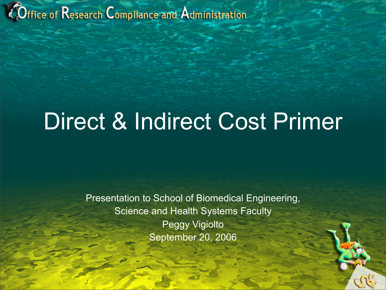#### Office of Research Compliance and Administration

### Direct & Indirect Cost Primer

Presentation to School of Biomedical Engineering, Science and Health Systems Faculty Peggy Vigiolto September 20, 2006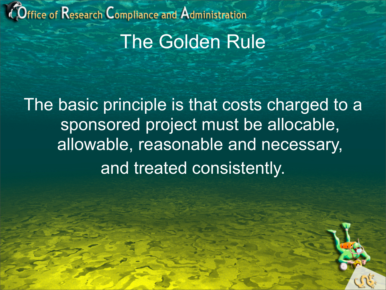#### Office of Research Compliance and Administration The Golden Rule

The basic principle is that costs charged to a sponsored project must be allocable, allowable, reasonable and necessary, and treated consistently.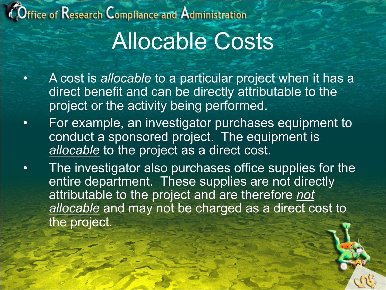#### $O$ ffice of  $\sf{Research}$   $\sf{Comple}$  and  $\sf{Admin}$ istration

## Allocable Costs

- A cost is *allocable* to a particular project when it has a direct benefit and can be directly attributable to the project or the activity being performed.
- For example, an investigator purchases equipment to conduct a sponsored project. The equipment is *allocable* to the project as a direct cost.
- The investigator also purchases office supplies for the entire department. These supplies are not directly attributable to the project and are therefore *not allocable* and may not be charged as a direct cost to the project.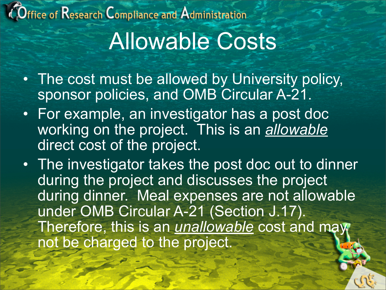#### Office of Research Compliance and Administration Allowable Costs

- The cost must be allowed by University policy, sponsor policies, and OMB Circular A-21.
- For example, an investigator has a post doc working on the project. This is an *allowable* direct cost of the project.
- The investigator takes the post doc out to dinner during the project and discusses the project during dinner. Meal expenses are not allowable under OMB Circular A-21 (Section J.17). Therefore, this is an *unallowable* cost and may not be charged to the project.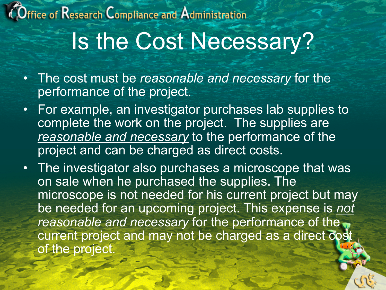### Office of Research Compliance and Administration Is the Cost Necessary?

- The cost must be *reasonable and necessary* for the performance of the project.
- For example, an investigator purchases lab supplies to complete the work on the project. The supplies are *reasonable and necessary* to the performance of the project and can be charged as direct costs.
- The investigator also purchases a microscope that was on sale when he purchased the supplies. The microscope is not needed for his current project but may be needed for an upcoming project. This expense is *not reasonable and necessary* for the performance of the current project and may not be charged as a direct cost of the project.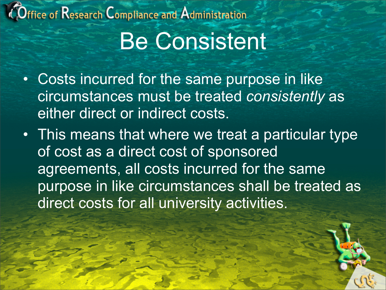#### $\hat{\mathsf{O}}$ ffice of  $\mathsf{Res}$ earch  $\mathsf{Compliance}$  and  $\mathsf{Admin}$ istration

### Be Consistent

- Costs incurred for the same purpose in like circumstances must be treated *consistently* as either direct or indirect costs.
- This means that where we treat a particular type of cost as a direct cost of sponsored agreements, all costs incurred for the same purpose in like circumstances shall be treated as direct costs for all university activities.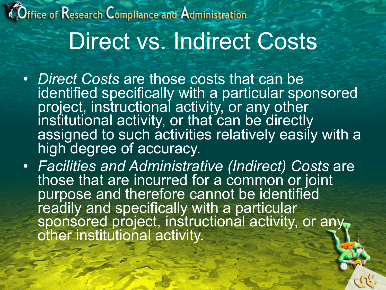# *COffice of Research Compliance and Administration*

### Direct vs. Indirect Costs

- *Direct Costs* are those costs that can be identified specifically with a particular sponsored project, instructional activity, or any other<br>institutional activity, or that can be directly assigned to such activities relatively easily with a high degree of accuracy.
- *Facilities and Administrative (Indirect) Costs* are those that are incurred for a common or joint purpose and therefore cannot be identified readily and specifically with a particular sponsored project, instructional activity, or any other institutional activity.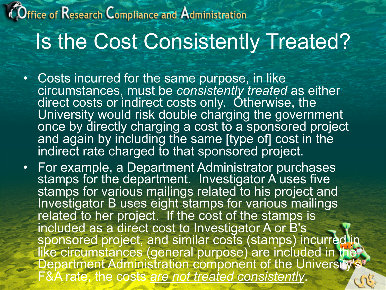#### Office of Research Compliance and Administration Is the Cost Consistently Treated?

- Costs incurred for the same purpose, in like circumstances, must be *consistently treated* as either direct costs or indirect costs only. Otherwise, the University would risk double charging the government once by directly charging a cost to a sponsored project and again by including the same [type of] cost in the indirect rate charged to that sponsored project.
- For example, a Department Administrator purchases<br>stamps for the department. Investigator A uses five stamps for various mailings related to his project and Investigator B uses eight stamps for various mailings related to her project. If the cost of the stamps is included as a direct cost to Investigator A or B's sponsored project, and similar costs (stamps) incurred in like circumstances (general purpose) are included in the **Department Administration component of the University's** F&A rate, the costs *are not treated consistently*.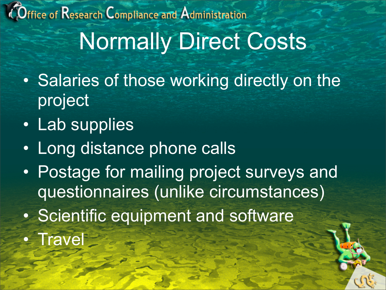Office of Research Compliance and Administration Normally Direct Costs

- Salaries of those working directly on the project
- Lab supplies
- Long distance phone calls
- Postage for mailing project surveys and questionnaires (unlike circumstances)
- Scientific equipment and software
- Travel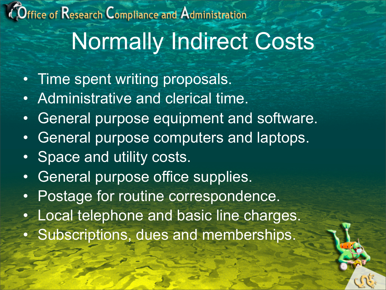#### $O$ ffice of  $\sf{Research}$   $\sf{Comple}$  and  $\sf{Admin}$ istration Normally Indirect Costs

- Time spent writing proposals.
- Administrative and clerical time.
- General purpose equipment and software.
- General purpose computers and laptops.
- Space and utility costs.
- General purpose office supplies.
- Postage for routine correspondence.
- Local telephone and basic line charges.
- Subscriptions, dues and memberships.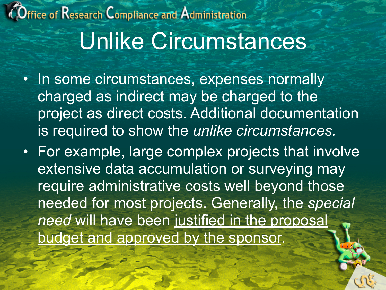#### Office of Research Compliance and Administration Unlike Circumstances

- In some circumstances, expenses normally charged as indirect may be charged to the project as direct costs. Additional documentation is required to show the *unlike circumstances.*
- For example, large complex projects that involve extensive data accumulation or surveying may require administrative costs well beyond those needed for most projects. Generally, the *special need* will have been justified in the proposal budget and approved by the sponsor.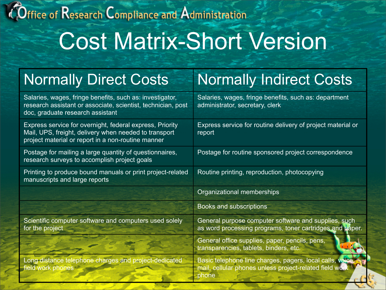#### Office of Research Compliance and Administration

### Cost Matrix-Short Version

| <b>Normally Direct Costs</b>                                                                                                                                            | <b>Normally Indirect Costs</b>                                                                                               |
|-------------------------------------------------------------------------------------------------------------------------------------------------------------------------|------------------------------------------------------------------------------------------------------------------------------|
| Salaries, wages, fringe benefits, such as: investigator,<br>research assistant or associate, scientist, technician, post<br>doc, graduate research assistant            | Salaries, wages, fringe benefits, such as: department<br>administrator, secretary, clerk                                     |
| Express service for overnight, federal express, Priority<br>Mail, UPS, freight, delivery when needed to transport<br>project material or report in a non-routine manner | Express service for routine delivery of project material or<br>report                                                        |
| Postage for mailing a large quantity of questionnaires,<br>research surveys to accomplish project goals                                                                 | Postage for routine sponsored project correspondence                                                                         |
| Printing to produce bound manuals or print project-related<br>manuscripts and large reports                                                                             | Routine printing, reproduction, photocopying                                                                                 |
|                                                                                                                                                                         | Organizational memberships                                                                                                   |
|                                                                                                                                                                         | Books and subscriptions                                                                                                      |
| Scientific computer software and computers used solely<br>for the project                                                                                               | General purpose computer software and supplies, such<br>as word processing programs, toner cartridges and paper.             |
|                                                                                                                                                                         | General office supplies, paper, pencils, pens,<br>transparencies, tablets, binders, etc.                                     |
| Long distance telephone charges and project-dedicated<br>field work phones                                                                                              | Basic telephone line charges, pagers, local calls, voice<br>mail, cellular phones unless project-related field work<br>phone |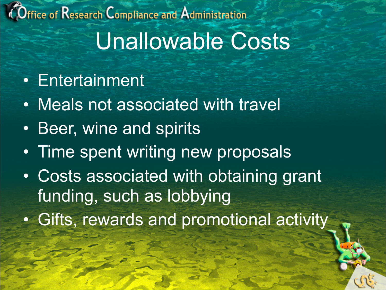#### Office of Research Compliance and Administration Unallowable Costs

- Entertainment
- Meals not associated with travel
- Beer, wine and spirits
- Time spent writing new proposals
- Costs associated with obtaining grant funding, such as lobbying
- Gifts, rewards and promotional activity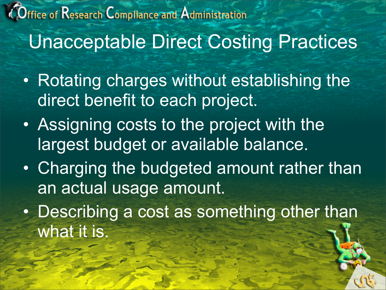#### Office of Research Compliance and Administration Unacceptable Direct Costing Practices

- Rotating charges without establishing the direct benefit to each project.
- Assigning costs to the project with the largest budget or available balance.
- Charging the budgeted amount rather than an actual usage amount.
- Describing a cost as something other than what it is.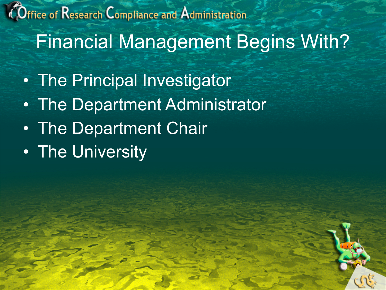Office of Research Compliance and Administration Financial Management Begins With?

- The Principal Investigator
- The Department Administrator
- The Department Chair
- The University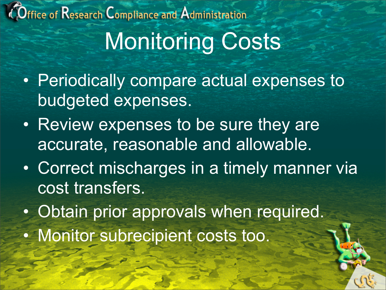## Office of Research Compliance and Administration Monitoring Costs

- Periodically compare actual expenses to budgeted expenses.
- Review expenses to be sure they are accurate, reasonable and allowable.
- Correct mischarges in a timely manner via cost transfers.
- Obtain prior approvals when required.
- Monitor subrecipient costs too.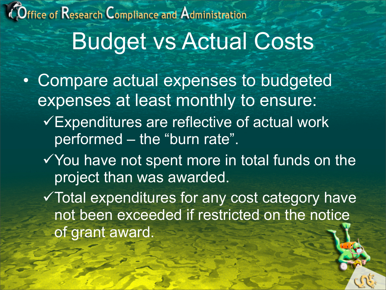#### Office of Research Compliance and Administration Budget vs Actual Costs

- Compare actual expenses to budgeted expenses at least monthly to ensure:
	- Expenditures are reflective of actual work performed – the "burn rate".
	- $\checkmark$  You have not spent more in total funds on the project than was awarded.
	- Total expenditures for any cost category have not been exceeded if restricted on the notice of grant award.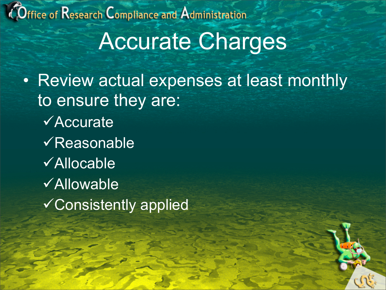Office of Research Compliance and Administration

#### Accurate Charges

• Review actual expenses at least monthly to ensure they are: **√Accurate**  $\sqrt{\mathsf{Reasonable}}$ Allocable **√Allowable** Consistently applied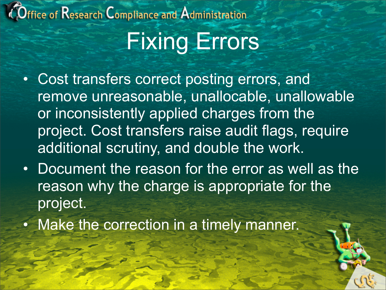# $O$ ffice of  $\sf{Research}$   $\sf{Comple}$  and  $\sf{Admin}$ istration

### Fixing Errors

- Cost transfers correct posting errors, and remove unreasonable, unallocable, unallowable or inconsistently applied charges from the project. Cost transfers raise audit flags, require additional scrutiny, and double the work.
- Document the reason for the error as well as the reason why the charge is appropriate for the project.
- Make the correction in a timely manner.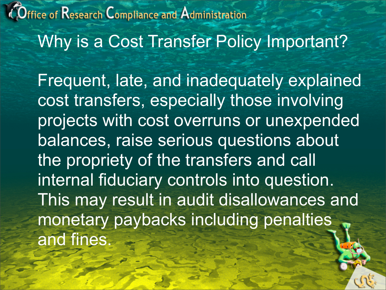Office of Research Compliance and Administration Why is a Cost Transfer Policy Important?

 Frequent, late, and inadequately explained cost transfers, especially those involving projects with cost overruns or unexpended balances, raise serious questions about the propriety of the transfers and call internal fiduciary controls into question. This may result in audit disallowances and monetary paybacks including penalties and fines.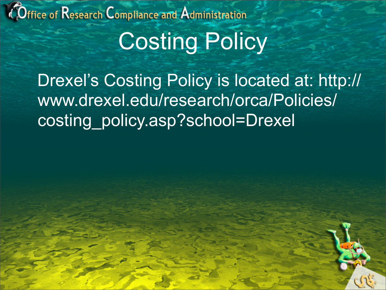#### Office of Research Compliance and Administration

# Costing Policy

 Drexel's Costing Policy is located at: http:// www.drexel.edu/research/orca/Policies/ costing\_policy.asp?school=Drexel